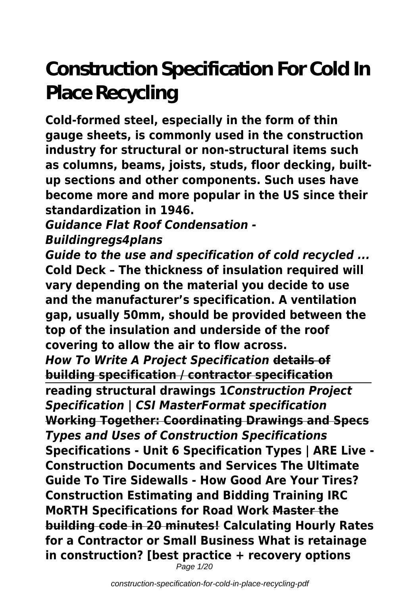# **Construction Specification For Cold In Place Recycling**

**Cold-formed steel, especially in the form of thin gauge sheets, is commonly used in the construction industry for structural or non-structural items such as columns, beams, joists, studs, floor decking, builtup sections and other components. Such uses have become more and more popular in the US since their standardization in 1946.**

#### *Guidance Flat Roof Condensation - Buildingregs4plans*

*Guide to the use and specification of cold recycled ...* **Cold Deck – The thickness of insulation required will vary depending on the material you decide to use and the manufacturer's specification. A ventilation gap, usually 50mm, should be provided between the top of the insulation and underside of the roof covering to allow the air to flow across.** *How To Write A Project Specification* **details of building specification / contractor specification reading structural drawings 1***Construction Project Specification | CSI MasterFormat specification* **Working Together: Coordinating Drawings and Specs** *Types and Uses of Construction Specifications* **Specifications - Unit 6 Specification Types | ARE Live - Construction Documents and Services The Ultimate Guide To Tire Sidewalls - How Good Are Your Tires? Construction Estimating and Bidding Training IRC MoRTH Specifications for Road Work Master the building code in 20 minutes! Calculating Hourly Rates for a Contractor or Small Business What is retainage in construction? [best practice + recovery options** Page 1/20

construction-specification-for-cold-in-place-recycling-pdf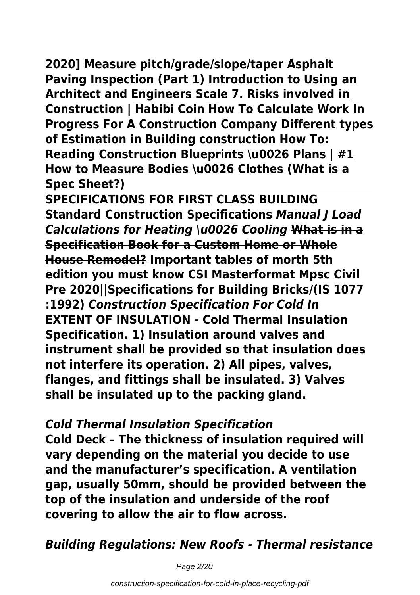**2020] Measure pitch/grade/slope/taper Asphalt Paving Inspection (Part 1) Introduction to Using an Architect and Engineers Scale 7. Risks involved in Construction | Habibi Coin How To Calculate Work In Progress For A Construction Company Different types of Estimation in Building construction How To: Reading Construction Blueprints \u0026 Plans | #1 How to Measure Bodies \u0026 Clothes (What is a Spec Sheet?)**

**SPECIFICATIONS FOR FIRST CLASS BUILDING Standard Construction Specifications** *Manual J Load Calculations for Heating \u0026 Cooling* **What is in a Specification Book for a Custom Home or Whole House Remodel? Important tables of morth 5th edition you must know CSI Masterformat Mpsc Civil Pre 2020||Specifications for Building Bricks/(IS 1077 :1992)** *Construction Specification For Cold In* **EXTENT OF INSULATION - Cold Thermal Insulation Specification. 1) Insulation around valves and instrument shall be provided so that insulation does not interfere its operation. 2) All pipes, valves, flanges, and fittings shall be insulated. 3) Valves shall be insulated up to the packing gland.**

#### *Cold Thermal Insulation Specification*

**Cold Deck – The thickness of insulation required will vary depending on the material you decide to use and the manufacturer's specification. A ventilation gap, usually 50mm, should be provided between the top of the insulation and underside of the roof covering to allow the air to flow across.**

*Building Regulations: New Roofs - Thermal resistance*

Page 2/20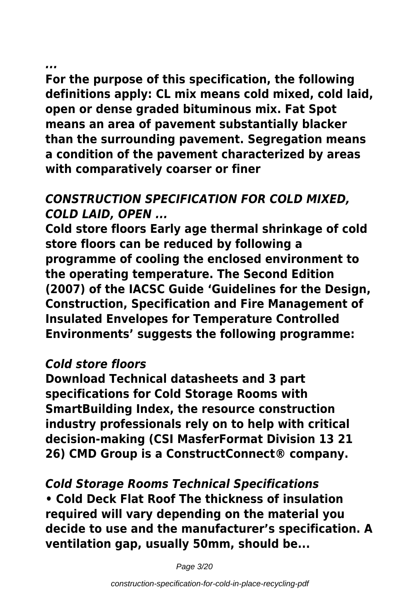#### *...*

**For the purpose of this specification, the following definitions apply: CL mix means cold mixed, cold laid, open or dense graded bituminous mix. Fat Spot means an area of pavement substantially blacker than the surrounding pavement. Segregation means a condition of the pavement characterized by areas with comparatively coarser or finer**

#### *CONSTRUCTION SPECIFICATION FOR COLD MIXED, COLD LAID, OPEN ...*

**Cold store floors Early age thermal shrinkage of cold store floors can be reduced by following a programme of cooling the enclosed environment to the operating temperature. The Second Edition (2007) of the IACSC Guide 'Guidelines for the Design, Construction, Specification and Fire Management of Insulated Envelopes for Temperature Controlled Environments' suggests the following programme:**

#### *Cold store floors*

**Download Technical datasheets and 3 part specifications for Cold Storage Rooms with SmartBuilding Index, the resource construction industry professionals rely on to help with critical decision-making (CSI MasferFormat Division 13 21 26) CMD Group is a ConstructConnect® company.**

#### *Cold Storage Rooms Technical Specifications* **• Cold Deck Flat Roof The thickness of insulation required will vary depending on the material you decide to use and the manufacturer's specification. A ventilation gap, usually 50mm, should be...**

Page 3/20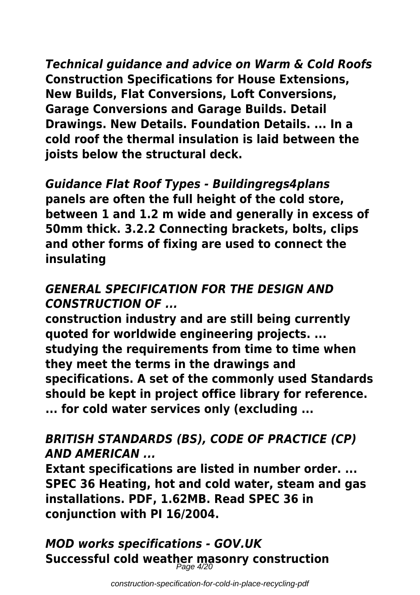*Technical guidance and advice on Warm & Cold Roofs* **Construction Specifications for House Extensions, New Builds, Flat Conversions, Loft Conversions, Garage Conversions and Garage Builds. Detail Drawings. New Details. Foundation Details. ... In a cold roof the thermal insulation is laid between the joists below the structural deck.**

*Guidance Flat Roof Types - Buildingregs4plans* **panels are often the full height of the cold store, between 1 and 1.2 m wide and generally in excess of 50mm thick. 3.2.2 Connecting brackets, bolts, clips and other forms of fixing are used to connect the insulating**

#### *GENERAL SPECIFICATION FOR THE DESIGN AND CONSTRUCTION OF ...*

**construction industry and are still being currently quoted for worldwide engineering projects. ... studying the requirements from time to time when they meet the terms in the drawings and specifications. A set of the commonly used Standards should be kept in project office library for reference. ... for cold water services only (excluding ...**

#### *BRITISH STANDARDS (BS), CODE OF PRACTICE (CP) AND AMERICAN ...*

**Extant specifications are listed in number order. ... SPEC 36 Heating, hot and cold water, steam and gas installations. PDF, 1.62MB. Read SPEC 36 in conjunction with PI 16/2004.**

*MOD works specifications - GOV.UK* **Successful cold weather masonry construction** Page 4/20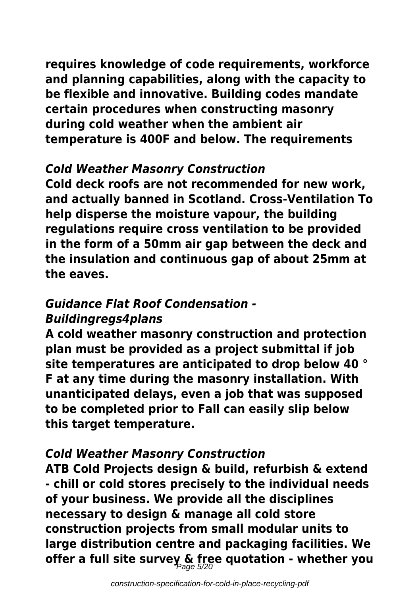**requires knowledge of code requirements, workforce and planning capabilities, along with the capacity to be flexible and innovative. Building codes mandate certain procedures when constructing masonry during cold weather when the ambient air temperature is 400F and below. The requirements**

#### *Cold Weather Masonry Construction*

**Cold deck roofs are not recommended for new work, and actually banned in Scotland. Cross-Ventilation To help disperse the moisture vapour, the building regulations require cross ventilation to be provided in the form of a 50mm air gap between the deck and the insulation and continuous gap of about 25mm at the eaves.**

#### *Guidance Flat Roof Condensation - Buildingregs4plans*

**A cold weather masonry construction and protection plan must be provided as a project submittal if job site temperatures are anticipated to drop below 40 ° F at any time during the masonry installation. With unanticipated delays, even a job that was supposed to be completed prior to Fall can easily slip below this target temperature.**

#### *Cold Weather Masonry Construction*

**ATB Cold Projects design & build, refurbish & extend - chill or cold stores precisely to the individual needs of your business. We provide all the disciplines necessary to design & manage all cold store construction projects from small modular units to large distribution centre and packaging facilities. We offer a full site survey & free quotation - whether you** Page 5/20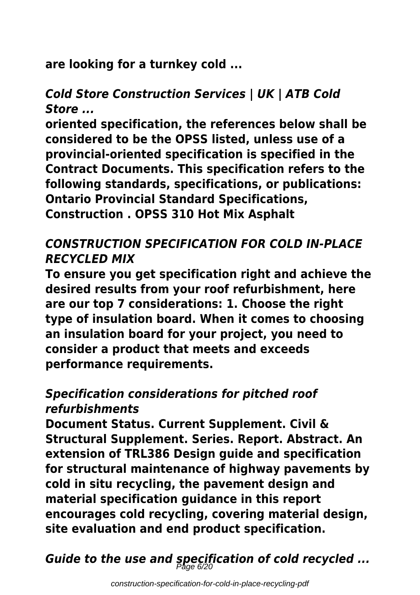**are looking for a turnkey cold ...**

#### *Cold Store Construction Services | UK | ATB Cold Store ...*

**oriented specification, the references below shall be considered to be the OPSS listed, unless use of a provincial-oriented specification is specified in the Contract Documents. This specification refers to the following standards, specifications, or publications: Ontario Provincial Standard Specifications, Construction . OPSS 310 Hot Mix Asphalt**

#### *CONSTRUCTION SPECIFICATION FOR COLD IN-PLACE RECYCLED MIX*

**To ensure you get specification right and achieve the desired results from your roof refurbishment, here are our top 7 considerations: 1. Choose the right type of insulation board. When it comes to choosing an insulation board for your project, you need to consider a product that meets and exceeds performance requirements.**

#### *Specification considerations for pitched roof refurbishments*

**Document Status. Current Supplement. Civil & Structural Supplement. Series. Report. Abstract. An extension of TRL386 Design guide and specification for structural maintenance of highway pavements by cold in situ recycling, the pavement design and material specification guidance in this report encourages cold recycling, covering material design, site evaluation and end product specification.**

*Guide to the use and specification of cold recycled ...* Page 6/20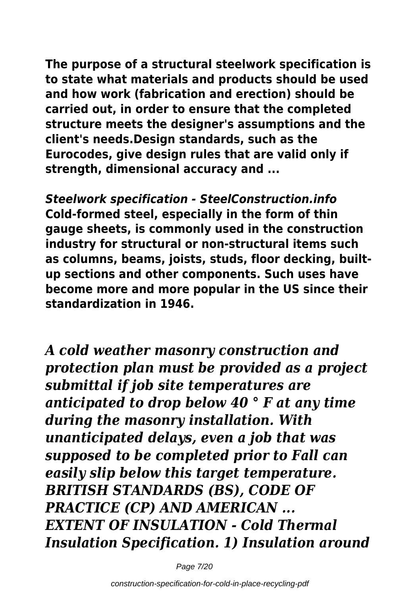**The purpose of a structural steelwork specification is to state what materials and products should be used and how work (fabrication and erection) should be carried out, in order to ensure that the completed structure meets the designer's assumptions and the client's needs.Design standards, such as the Eurocodes, give design rules that are valid only if strength, dimensional accuracy and ...**

*Steelwork specification - SteelConstruction.info* **Cold-formed steel, especially in the form of thin gauge sheets, is commonly used in the construction industry for structural or non-structural items such as columns, beams, joists, studs, floor decking, builtup sections and other components. Such uses have become more and more popular in the US since their standardization in 1946.**

*A cold weather masonry construction and protection plan must be provided as a project submittal if job site temperatures are anticipated to drop below 40 ° F at any time during the masonry installation. With unanticipated delays, even a job that was supposed to be completed prior to Fall can easily slip below this target temperature. BRITISH STANDARDS (BS), CODE OF PRACTICE (CP) AND AMERICAN ... EXTENT OF INSULATION - Cold Thermal Insulation Specification. 1) Insulation around*

Page 7/20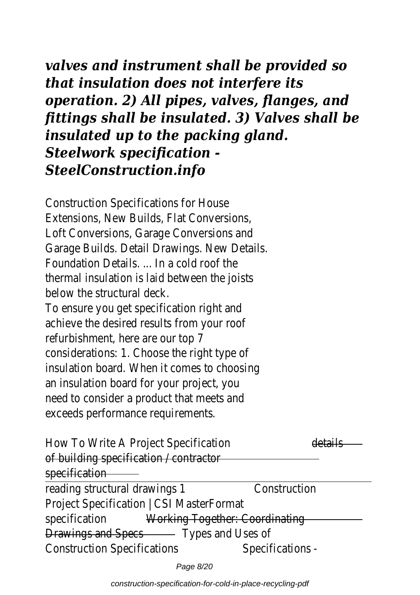*valves and instrument shall be provided so that insulation does not interfere its operation. 2) All pipes, valves, flanges, and fittings shall be insulated. 3) Valves shall be insulated up to the packing gland. Steelwork specification - SteelConstruction.info*

Construction Specifications for House Extensions, New Builds, Flat Conversions, Loft Conversions, Garage Conversions and Garage Builds. Detail Drawings. New Details. Foundation Details. ... In a cold roof the thermal insulation is laid between the joists below the structural deck.

To ensure you get specification right and achieve the desired results from your roof refurbishment, here are our top 7 considerations: 1. Choose the right type of insulation board. When it comes to choosing an insulation board for your project, you need to consider a product that meets and exceeds performance requirements.

How To Write A Project Specification details of building specification / contractor specification

reading structural drawings 1 Construction Project Specification | CSI MasterFormat specification Working Together: Coordinating Drawings and SpeesTypes and Uses of Construction Specifications Specifications -

Page 8/20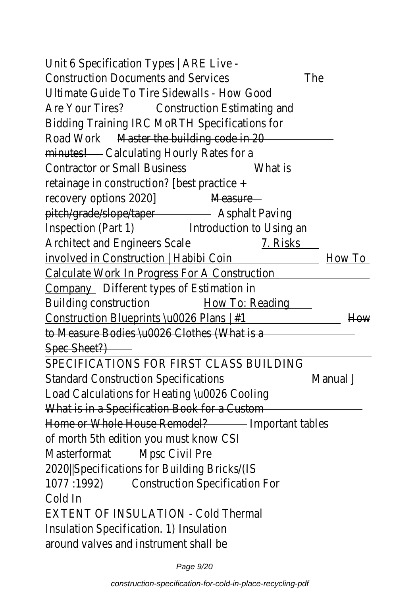#### Unit 6 Specification Types | ARE Live - Construction Documents and Services The Ultimate Guide To Tire Sidewalls - How Good Are Your Tires? Construction Estimating and Bidding Training IRC MoRTH Specifications for Road Work Master the building code in 20 minutes! Calculating Hourly Rates for a Contractor or Small Business What is retainage in construction? [best practice + recovery options 2020] Measure pitch/grade/slope/taper Asphalt Paving Inspection (Part 1) Introduction to Using an Architect and Engineers Scale 7. Risks involved in Construction | Habibi Coin How To Calculate Work In Progress For A Construction Compan Different types of Estimation in

Building construction How To: Reading Construction Blueprints \u0026 Plans | #1 How to Measure Bodies \u0026 Clothes (What is a Spec Sheet?)

SPECIFICATIONS FOR FIRST CLASS BUILDING Standard Construction Specifications Manual J Load Calculations for Heating \u0026 Cooling What is in a Specification Book for a Custom Home or Whole House Remode mportant tables of morth 5th edition you must know CSI MasterformatMpsc Civil Pre

2020||Specifications for Building Bricks/(IS 1077 :1992) Construction Specification For Cold In

EXTENT OF INSULATION - Cold Thermal Insulation Specification. 1) Insulation around valves and instrument shall be

Page 9/20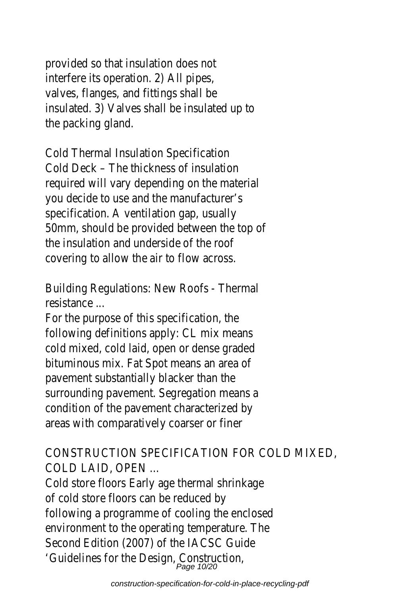provided so that insulation does not interfere its operation. 2) All pipes, valves, flanges, and fittings shall be insulated. 3) Valves shall be insulated up to the packing gland.

Cold Thermal Insulation Specification Cold Deck – The thickness of insulation required will vary depending on the material you decide to use and the manufacturer's specification. A ventilation gap, usually 50mm, should be provided between the top of the insulation and underside of the roof covering to allow the air to flow across.

Building Regulations: New Roofs - Thermal resistance ...

For the purpose of this specification, the following definitions apply: CL mix means cold mixed, cold laid, open or dense graded bituminous mix. Fat Spot means an area of pavement substantially blacker than the surrounding pavement. Segregation means a condition of the pavement characterized by areas with comparatively coarser or finer

CONSTRUCTION SPECIFICATION FOR COLD MIXED, COLD LAID, OPEN ...

Cold store floors Early age thermal shrinkage of cold store floors can be reduced by following a programme of cooling the enclosed environment to the operating temperature. The Second Edition (2007) of the IACSC Guide 'Guidelines for the Design, Construction, 2013.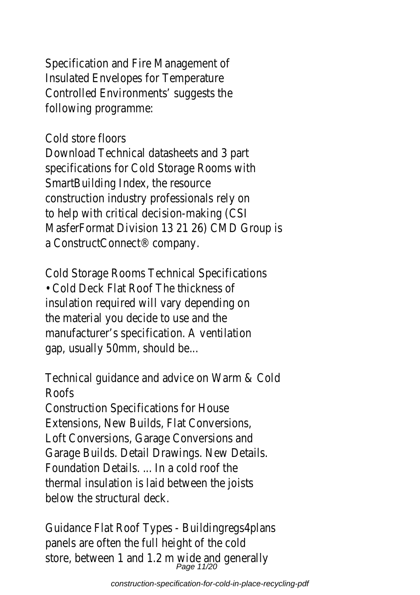Specification and Fire Management of Insulated Envelopes for Temperature Controlled Environments' suggests the following programme:

### Cold store floors

Download Technical datasheets and 3 part specifications for Cold Storage Rooms with SmartBuilding Index, the resource construction industry professionals rely on to help with critical decision-making (CSI MasferFormat Division 13 21 26) CMD Group is a ConstructConnect® company.

Cold Storage Rooms Technical Specifications • Cold Deck Flat Roof The thickness of insulation required will vary depending on the material you decide to use and the manufacturer's specification. A ventilation gap, usually 50mm, should be...

Technical guidance and advice on Warm & Cold Roofs

Construction Specifications for House Extensions, New Builds, Flat Conversions, Loft Conversions, Garage Conversions and Garage Builds. Detail Drawings. New Details. Foundation Details. ... In a cold roof the thermal insulation is laid between the joists below the structural deck.

Guidance Flat Roof Types - Buildingregs4plans panels are often the full height of the cold store, between 1 and 1.2 m wide and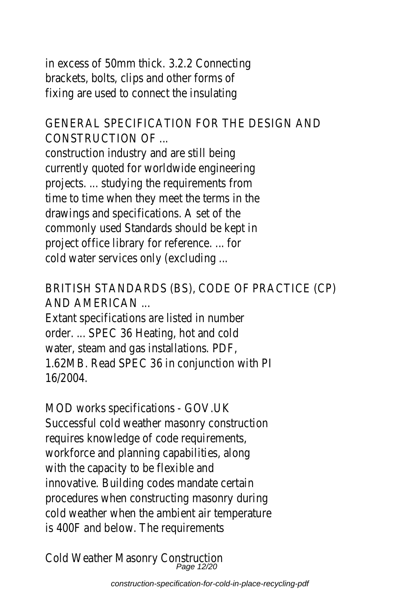in excess of 50mm thick. 3.2.2 Connecting brackets, bolts, clips and other forms of fixing are used to connect the insulating

GENERAL SPECIFICATION FOR THE DESIGN AND CONSTRUCTION OF ...

construction industry and are still being currently quoted for worldwide engineering projects. ... studying the requirements from time to time when they meet the terms in the drawings and specifications. A set of the commonly used Standards should be kept in project office library for reference. ... for cold water services only (excluding ...

BRITISH STANDARDS (BS), CODE OF PRACTICE (CP) AND AMERICAN ...

Extant specifications are listed in number order. ... SPEC 36 Heating, hot and cold water, steam and gas installations. PDF, 1.62MB. Read SPEC 36 in conjunction with PI 16/2004.

MOD works specifications - GOV.UK Successful cold weather masonry construction requires knowledge of code requirements, workforce and planning capabilities, along with the capacity to be flexible and innovative. Building codes mandate certain procedures when constructing masonry during cold weather when the ambient air temperature is 400F and below. The requirements

Cold Weather Masonry Construction of the Mass of the Mage 12/20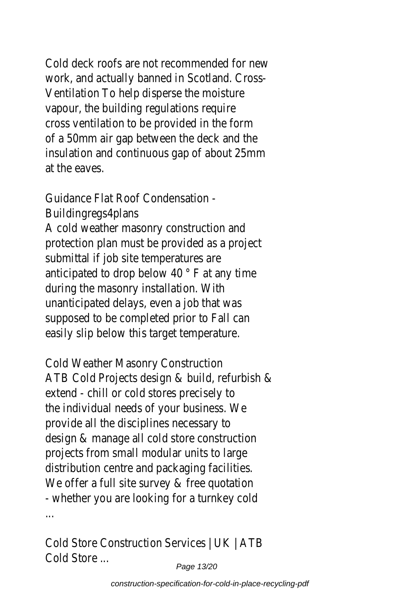Cold deck roofs are not recommended for new work, and actually banned in Scotland. Cross-Ventilation To help disperse the moisture vapour, the building regulations require cross ventilation to be provided in the form of a 50mm air gap between the deck and the insulation and continuous gap of about 25mm at the eaves.

Guidance Flat Roof Condensation -

Buildingregs4plans

A cold weather masonry construction and protection plan must be provided as a project submittal if job site temperatures are anticipated to drop below 40 ° F at any time during the masonry installation. With unanticipated delays, even a job that was supposed to be completed prior to Fall can easily slip below this target temperature.

Cold Weather Masonry Construction ATB Cold Projects design & build, refurbish & extend - chill or cold stores precisely to the individual needs of your business. We provide all the disciplines necessary to design & manage all cold store construction projects from small modular units to large distribution centre and packaging facilities. We offer a full site survey & free quotation - whether you are looking for a turnkey cold ...

Cold Store Construction Services | UK | ATB Cold Store ...

Page 13/20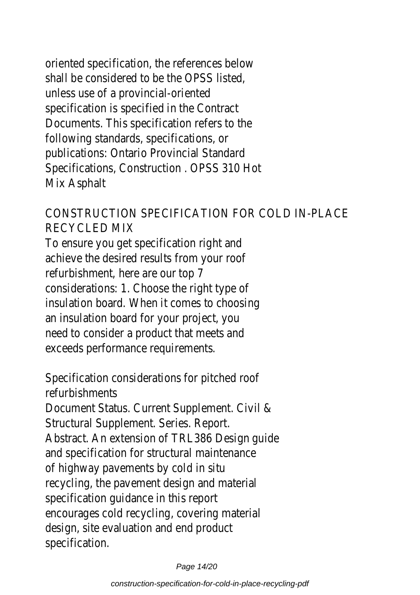oriented specification, the references below shall be considered to be the OPSS listed, unless use of a provincial-oriented specification is specified in the Contract Documents. This specification refers to the following standards, specifications, or publications: Ontario Provincial Standard Specifications, Construction . OPSS 310 Hot Mix Asphalt

CONSTRUCTION SPECIFICATION FOR COLD IN-PLACE RECYCLED MIX

To ensure you get specification right and achieve the desired results from your roof refurbishment, here are our top 7 considerations: 1. Choose the right type of insulation board. When it comes to choosing an insulation board for your project, you need to consider a product that meets and exceeds performance requirements.

Specification considerations for pitched roof refurbishments

Document Status. Current Supplement. Civil & Structural Supplement. Series. Report.

Abstract. An extension of TRL386 Design guide and specification for structural maintenance of highway pavements by cold in situ recycling, the pavement design and material specification guidance in this report encourages cold recycling, covering material design, site evaluation and end product specification.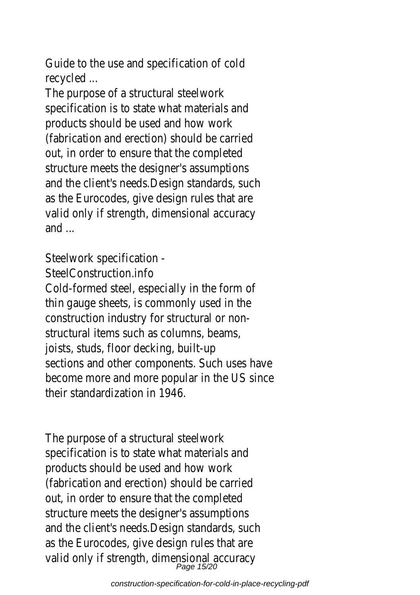Guide to the use and specification of cold recycled ...

The purpose of a structural steelwork specification is to state what materials and products should be used and how work (fabrication and erection) should be carried out, in order to ensure that the completed structure meets the designer's assumptions and the client's needs.Design standards, such as the Eurocodes, give design rules that are valid only if strength, dimensional accuracy and ...

Steelwork specification -

SteelConstruction.info

Cold-formed steel, especially in the form of thin gauge sheets, is commonly used in the construction industry for structural or nonstructural items such as columns, beams, joists, studs, floor decking, built-up sections and other components. Such uses have become more and more popular in the US since their standardization in 1946.

The purpose of a structural steelwork specification is to state what materials and products should be used and how work (fabrication and erection) should be carried out, in order to ensure that the completed structure meets the designer's assumptions and the client's needs.Design standards, such as the Eurocodes, give design rules that are valid only if strength, dimensional a<br>Page 15/20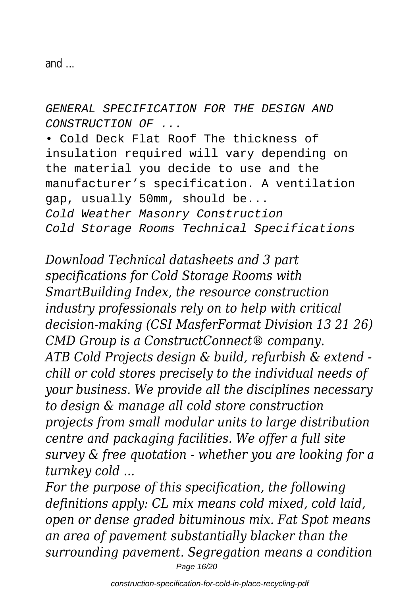and ...

GENERAL SPECIFICATION FOR THE DESIGN AND CONSTRUCTION OF ...

• Cold Deck Flat Roof The thickness of insulation required will vary depending on the material you decide to use and the manufacturer's specification. A ventilation gap, usually 50mm, should be... Cold Weather Masonry Construction Cold Storage Rooms Technical Specifications

*Download Technical datasheets and 3 part specifications for Cold Storage Rooms with SmartBuilding Index, the resource construction industry professionals rely on to help with critical decision-making (CSI MasferFormat Division 13 21 26) CMD Group is a ConstructConnect® company. ATB Cold Projects design & build, refurbish & extend chill or cold stores precisely to the individual needs of your business. We provide all the disciplines necessary to design & manage all cold store construction projects from small modular units to large distribution centre and packaging facilities. We offer a full site survey & free quotation - whether you are looking for a turnkey cold ...*

*For the purpose of this specification, the following definitions apply: CL mix means cold mixed, cold laid, open or dense graded bituminous mix. Fat Spot means an area of pavement substantially blacker than the surrounding pavement. Segregation means a condition* Page 16/20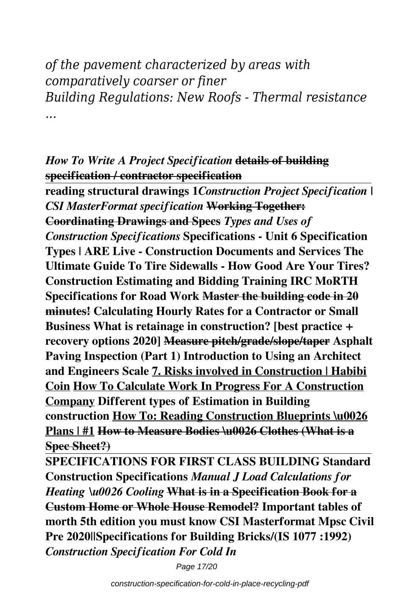*of the pavement characterized by areas with comparatively coarser or finer Building Regulations: New Roofs - Thermal resistance ...*

#### *How To Write A Project Specification* **details of building specification / contractor specification**

**reading structural drawings 1***Construction Project Specification | CSI MasterFormat specification* **Working Together: Coordinating Drawings and Specs** *Types and Uses of Construction Specifications* **Specifications - Unit 6 Specification Types | ARE Live - Construction Documents and Services The Ultimate Guide To Tire Sidewalls - How Good Are Your Tires? Construction Estimating and Bidding Training IRC MoRTH Specifications for Road Work Master the building code in 20 minutes! Calculating Hourly Rates for a Contractor or Small Business What is retainage in construction? [best practice + recovery options 2020] Measure pitch/grade/slope/taper Asphalt Paving Inspection (Part 1) Introduction to Using an Architect and Engineers Scale 7. Risks involved in Construction | Habibi Coin How To Calculate Work In Progress For A Construction Company Different types of Estimation in Building construction How To: Reading Construction Blueprints \u0026 Plans | #1 How to Measure Bodies \u0026 Clothes (What is a Spec Sheet?)**

**SPECIFICATIONS FOR FIRST CLASS BUILDING Standard Construction Specifications** *Manual J Load Calculations for Heating \u0026 Cooling* **What is in a Specification Book for a Custom Home or Whole House Remodel? Important tables of morth 5th edition you must know CSI Masterformat Mpsc Civil Pre 2020||Specifications for Building Bricks/(IS 1077 :1992)** *Construction Specification For Cold In*

Page 17/20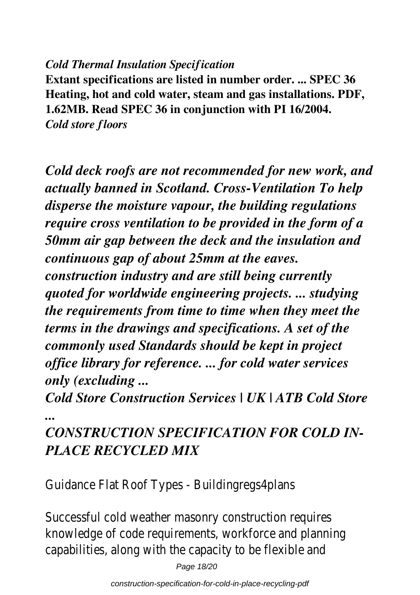#### *Cold Thermal Insulation Specification*

**Extant specifications are listed in number order. ... SPEC 36 Heating, hot and cold water, steam and gas installations. PDF, 1.62MB. Read SPEC 36 in conjunction with PI 16/2004.** *Cold store floors*

*Cold deck roofs are not recommended for new work, and actually banned in Scotland. Cross-Ventilation To help disperse the moisture vapour, the building regulations require cross ventilation to be provided in the form of a 50mm air gap between the deck and the insulation and continuous gap of about 25mm at the eaves.*

*construction industry and are still being currently quoted for worldwide engineering projects. ... studying the requirements from time to time when they meet the terms in the drawings and specifications. A set of the commonly used Standards should be kept in project office library for reference. ... for cold water services only (excluding ...*

*Cold Store Construction Services | UK | ATB Cold Store ...*

## *CONSTRUCTION SPECIFICATION FOR COLD IN-PLACE RECYCLED MIX*

Guidance Flat Roof Types - Buildingregs4plans

Successful cold weather masonry construction requires knowledge of code requirements, workforce and pla capabilities, along with the capacity to be flexible are

Page 18/20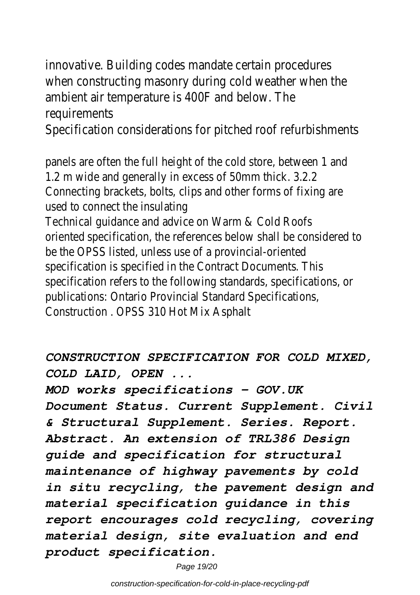innovative. Building codes mandate certain procedur when constructing masonry during cold weather wh ambient air temperature is 400F and below. The requirements

Specification considerations for pitched roof refurbi

panels are often the full height of the cold store, betwe 1.2 m wide and generally in excess of 50mm thick. 3.2.2 Connecting brackets, bolts, clips and other forms of fixing used to connect the insulating

Technical guidance and advice on Warm & Cold Roofs oriented specification, the references below shall be considered to be the OPSS listed, unless use of a provincial-oriented specification is specified in the Contract Documents. This specification refers to the following standards, specification publications: Ontario Provincial Standard Specifications, Construction . OPSS 310 Hot Mix Asphalt

*CONSTRUCTION SPECIFICATION FOR COLD MIXED, COLD LAID, OPEN ...*

*MOD works specifications - GOV.UK Document Status. Current Supplement. Civil & Structural Supplement. Series. Report. Abstract. An extension of TRL386 Design guide and specification for structural maintenance of highway pavements by cold in situ recycling, the pavement design and material specification guidance in this report encourages cold recycling, covering material design, site evaluation and end product specification.*

Page 19/20